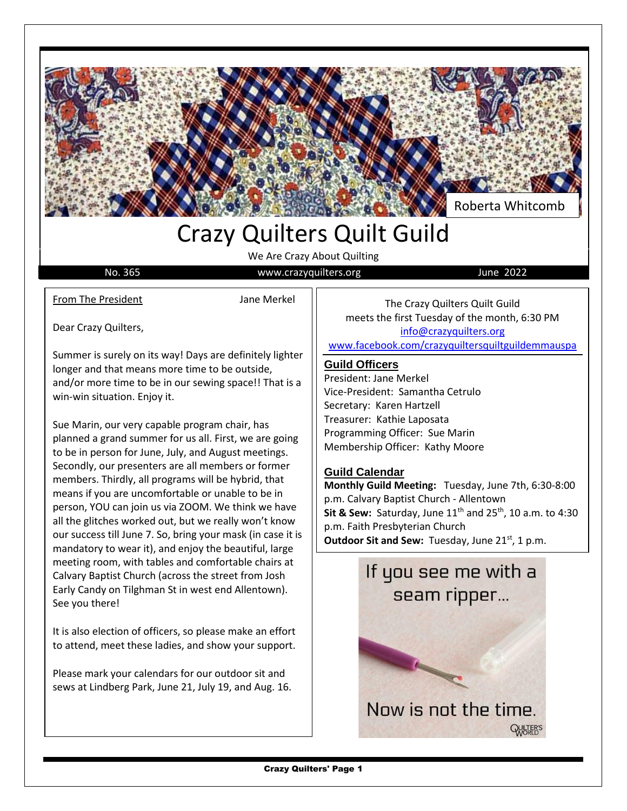

## Crazy Quilters Quilt Guild

We Are Crazy About Quilting

No. 365 Www.crazyquilters.org June 2022

From The President **Interval** Jane Merkel

Dear Crazy Quilters,

Summer is surely on its way! Days are definitely lighter longer and that means more time to be outside, and/or more time to be in our sewing space!! That is a win-win situation. Enjoy it.

Sue Marin, our very capable program chair, has planned a grand summer for us all. First, we are going to be in person for June, July, and August meetings. Secondly, our presenters are all members or former members. Thirdly, all programs will be hybrid, that means if you are uncomfortable or unable to be in person, YOU can join us via ZOOM. We think we have all the glitches worked out, but we really won't know our success till June 7. So, bring your mask (in case it is mandatory to wear it), and enjoy the beautiful, large meeting room, with tables and comfortable chairs at Calvary Baptist Church (across the street from Josh Early Candy on Tilghman St in west end Allentown). See you there!

It is also election of officers, so please make an effort to attend, meet these ladies, and show your support.

Please mark your calendars for our outdoor sit and sews at Lindberg Park, June 21, July 19, and Aug. 16.

The Crazy Quilters Quilt Guild meets the first Tuesday of the month, 6:30 PM [info@crazyquilters.org](mailto:info@crazyquilters.org) [www.facebook.com/crazyquiltersquiltguildemmauspa](http://www.facebook.com/crazyquiltersquiltguildemmauspa)

#### **Guild Officers**

President: Jane Merkel Vice-President: Samantha Cetrulo Secretary: Karen Hartzell Treasurer: Kathie Laposata Programming Officer: Sue Marin Membership Officer: Kathy Moore

#### **Guild Calendar**

**Monthly Guild Meeting:** Tuesday, June 7th, 6:30-8:00 p.m. Calvary Baptist Church - Allentown **Sit & Sew:** Saturday, June 11<sup>th</sup> and 25<sup>th</sup>, 10 a.m. to 4:30 p.m. Faith Presbyterian Church **Outdoor Sit and Sew:** Tuesday, June 21st, 1 p.m.

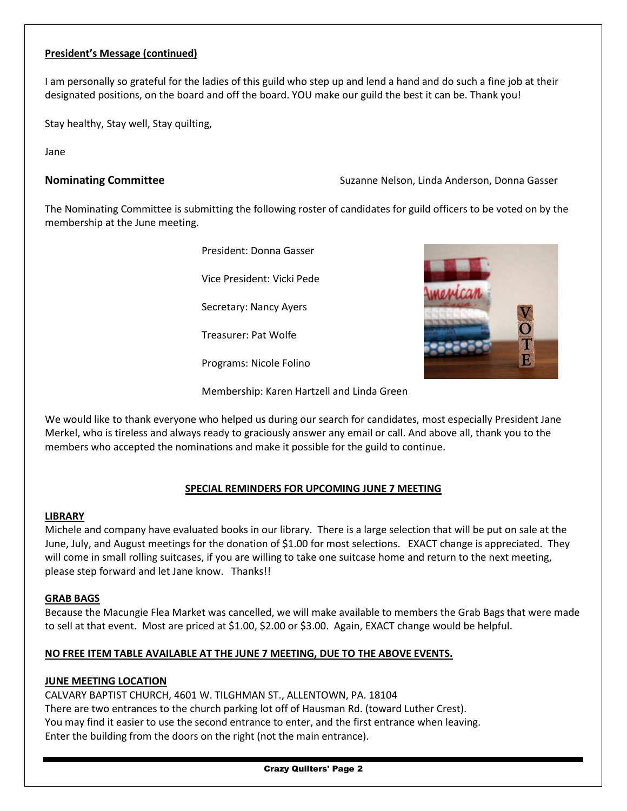#### **President's Message (continued)**

I am personally so grateful for the ladies of this guild who step up and lend a hand and do such a fine job at their designated positions, on the board and off the board. YOU make our guild the best it can be. Thank you!

Stay healthy, Stay well, Stay quilting,

Jane

**Nominating Committee** The Suzanne Nelson, Linda Anderson, Donna Gasser

The Nominating Committee is submitting the following roster of candidates for guild officers to be voted on by the membership at the June meeting.

> President: Donna Gasser Vice President: Vicki Pede Secretary: Nancy Ayers Treasurer: Pat Wolfe

Programs: Nicole Folino



Membership: Karen Hartzell and Linda Green

We would like to thank everyone who helped us during our search for candidates, most especially President Jane Merkel, who is tireless and always ready to graciously answer any email or call. And above all, thank you to the members who accepted the nominations and make it possible for the guild to continue.

#### **SPECIAL REMINDERS FOR UPCOMING JUNE 7 MEETING**

#### **LIBRARY**

Michele and company have evaluated books in our library. There is a large selection that will be put on sale at the June, July, and August meetings for the donation of \$1.00 for most selections. EXACT change is appreciated. They will come in small rolling suitcases, if you are willing to take one suitcase home and return to the next meeting, please step forward and let Jane know. Thanks!!

#### **GRAB BAGS**

Because the Macungie Flea Market was cancelled, we will make available to members the Grab Bags that were made to sell at that event. Most are priced at \$1.00, \$2.00 or \$3.00. Again, EXACT change would be helpful.

#### **NO FREE ITEM TABLE AVAILABLE AT THE JUNE 7 MEETING, DUE TO THE ABOVE EVENTS.**

#### **JUNE MEETING LOCATION**

CALVARY BAPTIST CHURCH, 4601 W. TILGHMAN ST., ALLENTOWN, PA. 18104 There are two entrances to the church parking lot off of Hausman Rd. (toward Luther Crest). You may find it easier to use the second entrance to enter, and the first entrance when leaving. Enter the building from the doors on the right (not the main entrance).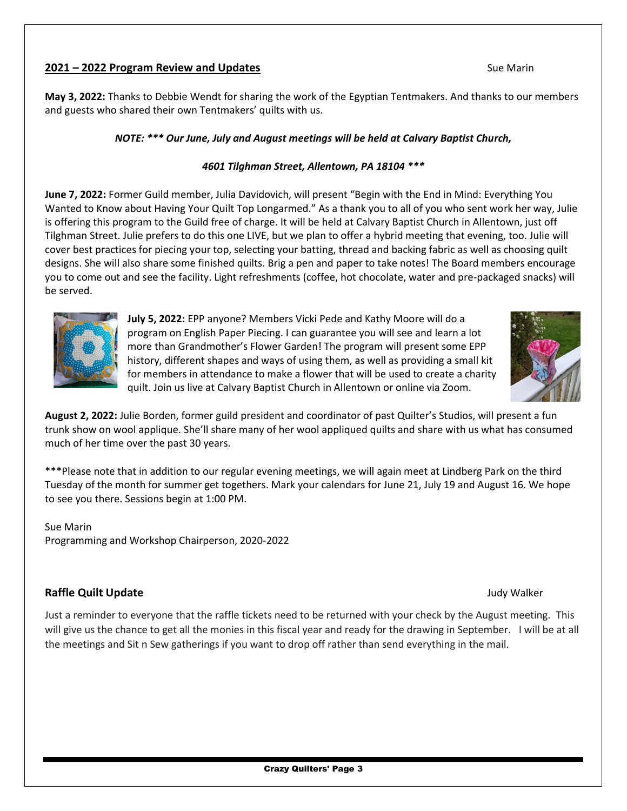#### **2021 – 2022 Program Review and Updates** Sue Marin

**May 3, 2022:** Thanks to Debbie Wendt for sharing the work of the Egyptian Tentmakers. And thanks to our members and guests who shared their own Tentmakers' quilts with us.

#### *NOTE: \*\*\* Our June, July and August meetings will be held at Calvary Baptist Church,*

#### *4601 Tilghman Street, Allentown, PA 18104 \*\*\**

**June 7, 2022:** Former Guild member, Julia Davidovich, will present "Begin with the End in Mind: Everything You Wanted to Know about Having Your Quilt Top Longarmed." As a thank you to all of you who sent work her way, Julie is offering this program to the Guild free of charge. It will be held at Calvary Baptist Church in Allentown, just off Tilghman Street. Julie prefers to do this one LIVE, but we plan to offer a hybrid meeting that evening, too. Julie will cover best practices for piecing your top, selecting your batting, thread and backing fabric as well as choosing quilt designs. She will also share some finished quilts. Brig a pen and paper to take notes! The Board members encourage you to come out and see the facility. Light refreshments (coffee, hot chocolate, water and pre-packaged snacks) will be served.



**July 5, 2022:** EPP anyone? Members Vicki Pede and Kathy Moore will do a program on English Paper Piecing. I can guarantee you will see and learn a lot more than Grandmother's Flower Garden! The program will present some EPP history, different shapes and ways of using them, as well as providing a small kit for members in attendance to make a flower that will be used to create a charity quilt. Join us live at Calvary Baptist Church in Allentown or online via Zoom.



**August 2, 2022:** Julie Borden, former guild president and coordinator of past Quilter's Studios, will present a fun trunk show on wool applique. She'll share many of her wool appliqued quilts and share with us what has consumed much of her time over the past 30 years.

\*\*\*Please note that in addition to our regular evening meetings, we will again meet at Lindberg Park on the third Tuesday of the month for summer get togethers. Mark your calendars for June 21, July 19 and August 16. We hope to see you there. Sessions begin at 1:00 PM.

Sue Marin Programming and Workshop Chairperson, 2020-2022

#### **Raffle Quilt Update Judy Walker Community Community Community Community Community Community Community Community Community Community Community Community Community Community Community Community Community Community Commu**

Just a reminder to everyone that the raffle tickets need to be returned with your check by the August meeting. This will give us the chance to get all the monies in this fiscal year and ready for the drawing in September. I will be at all the meetings and Sit n Sew gatherings if you want to drop off rather than send everything in the mail.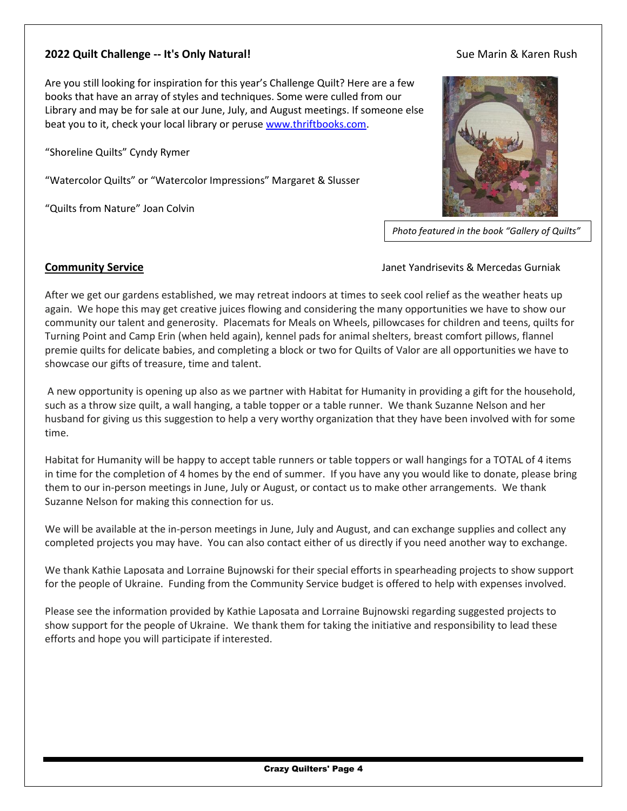#### **2022 Quilt Challenge -- It's Only Natural! Sue Marin & Karen Rush** Sue Marin & Karen Rush

#### Are you still looking for inspiration for this year's Challenge Quilt? Here are a few books that have an array of styles and techniques. Some were culled from our Library and may be for sale at our June, July, and August meetings. If someone else beat you to it, check your local library or perus[e www.thriftbooks.com.](http://www.thriftbooks.com/)

"Shoreline Quilts" Cyndy Rymer

"Watercolor Quilts" or "Watercolor Impressions" Margaret & Slusser

"Quilts from Nature" Joan Colvin



*Photo featured in the book "Gallery of Quilts"*

#### **Community Service Janet Yandrisevits & Mercedas Gurniak** Janet Yandrisevits & Mercedas Gurniak

After we get our gardens established, we may retreat indoors at times to seek cool relief as the weather heats up again. We hope this may get creative juices flowing and considering the many opportunities we have to show our community our talent and generosity. Placemats for Meals on Wheels, pillowcases for children and teens, quilts for Turning Point and Camp Erin (when held again), kennel pads for animal shelters, breast comfort pillows, flannel premie quilts for delicate babies, and completing a block or two for Quilts of Valor are all opportunities we have to showcase our gifts of treasure, time and talent.

A new opportunity is opening up also as we partner with Habitat for Humanity in providing a gift for the household, such as a throw size quilt, a wall hanging, a table topper or a table runner. We thank Suzanne Nelson and her husband for giving us this suggestion to help a very worthy organization that they have been involved with for some time.

Habitat for Humanity will be happy to accept table runners or table toppers or wall hangings for a TOTAL of 4 items in time for the completion of 4 homes by the end of summer. If you have any you would like to donate, please bring them to our in-person meetings in June, July or August, or contact us to make other arrangements. We thank Suzanne Nelson for making this connection for us.

We will be available at the in-person meetings in June, July and August, and can exchange supplies and collect any completed projects you may have. You can also contact either of us directly if you need another way to exchange.

We thank Kathie Laposata and Lorraine Bujnowski for their special efforts in spearheading projects to show support for the people of Ukraine. Funding from the Community Service budget is offered to help with expenses involved.

Please see the information provided by Kathie Laposata and Lorraine Bujnowski regarding suggested projects to show support for the people of Ukraine. We thank them for taking the initiative and responsibility to lead these efforts and hope you will participate if interested.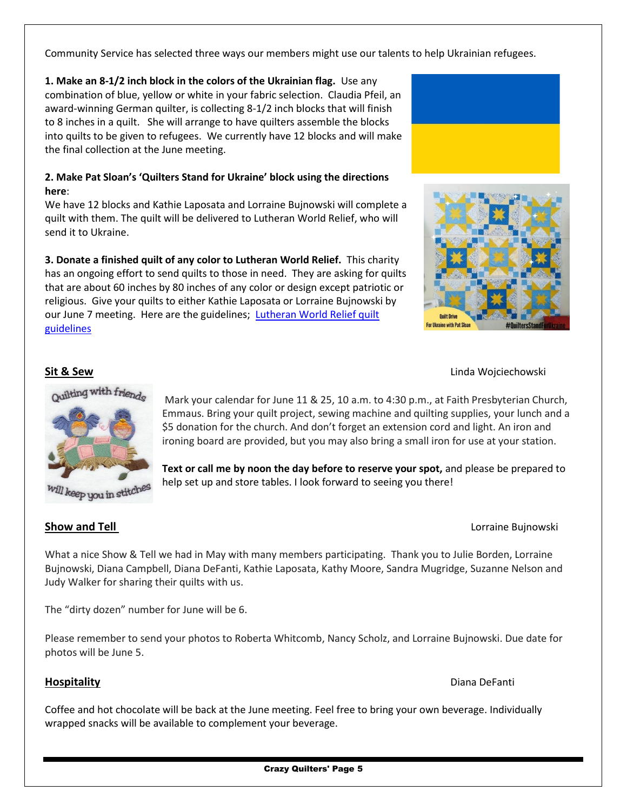Community Service has selected three ways our members might use our talents to help Ukrainian refugees.

**1. Make an 8-1/2 inch block in the colors of the Ukrainian flag.** Use any combination of blue, yellow or white in your fabric selection. Claudia Pfeil, an award-winning German quilter, is collecting 8-1/2 inch blocks that will finish to 8 inches in a quilt. She will arrange to have quilters assemble the blocks into quilts to be given to refugees. We currently have 12 blocks and will make the final collection at the June meeting.

#### **2. Make Pat Sloan's 'Quilters Stand for Ukraine' block using the directions here**:

We have 12 blocks and Kathie Laposata and Lorraine Bujnowski will complete a quilt with them. The quilt will be delivered to Lutheran World Relief, who will send it to Ukraine.

**3. Donate a finished quilt of any color to Lutheran World Relief.** This charity has an ongoing effort to send quilts to those in need. They are asking for quilts that are about 60 inches by 80 inches of any color or design except patriotic or religious. Give your quilts to either Kathie Laposata or Lorraine Bujnowski by our June 7 meeting. Here are the guidelines; Lutheran World Relief quilt [guidelines](https://lwr.org/ai_file_subscribe/file/3727)





### **Sit & Sew** Linda Wojciechowski



Mark your calendar for June 11 & 25, 10 a.m. to 4:30 p.m., at Faith Presbyterian Church, Emmaus. Bring your quilt project, sewing machine and quilting supplies, your lunch and a \$5 donation for the church. And don't forget an extension cord and light. An iron and ironing board are provided, but you may also bring a small iron for use at your station.

**Text or call me by noon the day before to reserve your spot,** and please be prepared to help set up and store tables. I look forward to seeing you there!

### **Show and Tell Show and Tell Lorraine Bujnowski**

What a nice Show & Tell we had in May with many members participating. Thank you to Julie Borden, Lorraine Bujnowski, Diana Campbell, Diana DeFanti, Kathie Laposata, Kathy Moore, Sandra Mugridge, Suzanne Nelson and Judy Walker for sharing their quilts with us.

The "dirty dozen" number for June will be 6.

Please remember to send your photos to Roberta Whitcomb, Nancy Scholz, and Lorraine Bujnowski. Due date for photos will be June 5.

### **Hospitality** Diana DeFanti

Coffee and hot chocolate will be back at the June meeting. Feel free to bring your own beverage. Individually wrapped snacks will be available to complement your beverage.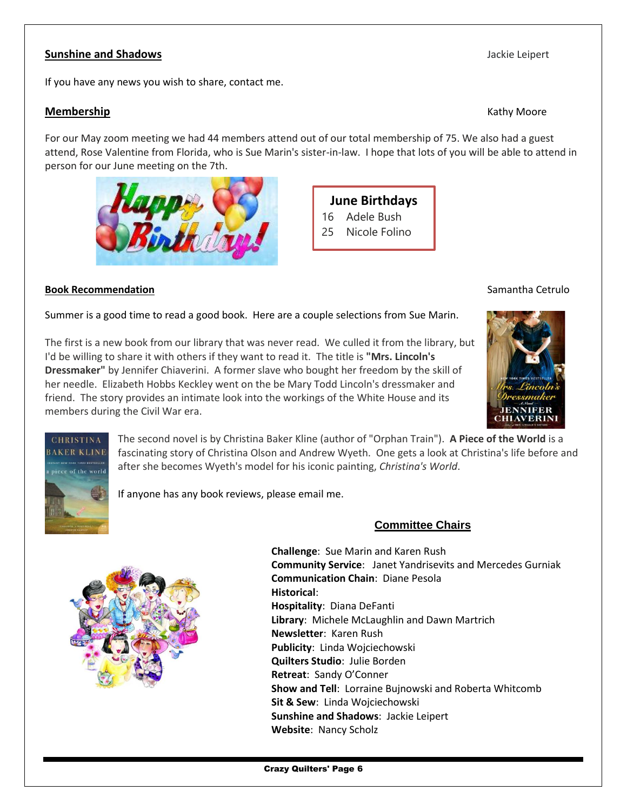#### **Sunshine and Shadows Jackie Leipert Jackie Leipert Jackie Leipert Jackie Leipert**

If you have any news you wish to share, contact me.

#### **Membership** Kathy Moore

For our May zoom meeting we had 44 members attend out of our total membership of 75. We also had a guest attend, Rose Valentine from Florida, who is Sue Marin's sister-in-law. I hope that lots of you will be able to attend in person for our June meeting on the 7th.





#### **Book Recommendation** Samantha Cetrulo **Samantha Cetrulo** Samantha Cetrulo

Summer is a good time to read a good book. Here are a couple selections from Sue Marin.

The first is a new book from our library that was never read. We culled it from the library, but I'd be willing to share it with others if they want to read it. The title is **"Mrs. Lincoln's Dressmaker"** by Jennifer Chiaverini. A former slave who bought her freedom by the skill of her needle. Elizabeth Hobbs Keckley went on the be Mary Todd Lincoln's dressmaker and friend. The story provides an intimate look into the workings of the White House and its members during the Civil War era.





The second novel is by Christina Baker Kline (author of "Orphan Train"). **A Piece of the World** is a fascinating story of Christina Olson and Andrew Wyeth. One gets a look at Christina's life before and after she becomes Wyeth's model for his iconic painting, *Christina's World*.

If anyone has any book reviews, please email me.

### **Committee Chairs**



**Challenge**: Sue Marin and Karen Rush **Community Service**: Janet Yandrisevits and Mercedes Gurniak **Communication Chain**: Diane Pesola **Historical**: **Hospitality**: Diana DeFanti **Library**: Michele McLaughlin and Dawn Martrich **Newsletter**: Karen Rush **Publicity**: Linda Wojciechowski **Quilters Studio**: Julie Borden **Retreat**: Sandy O'Conner **Show and Tell**: Lorraine Bujnowski and Roberta Whitcomb **Sit & Sew**: Linda Wojciechowski **Sunshine and Shadows**: Jackie Leipert **Website**: Nancy Scholz